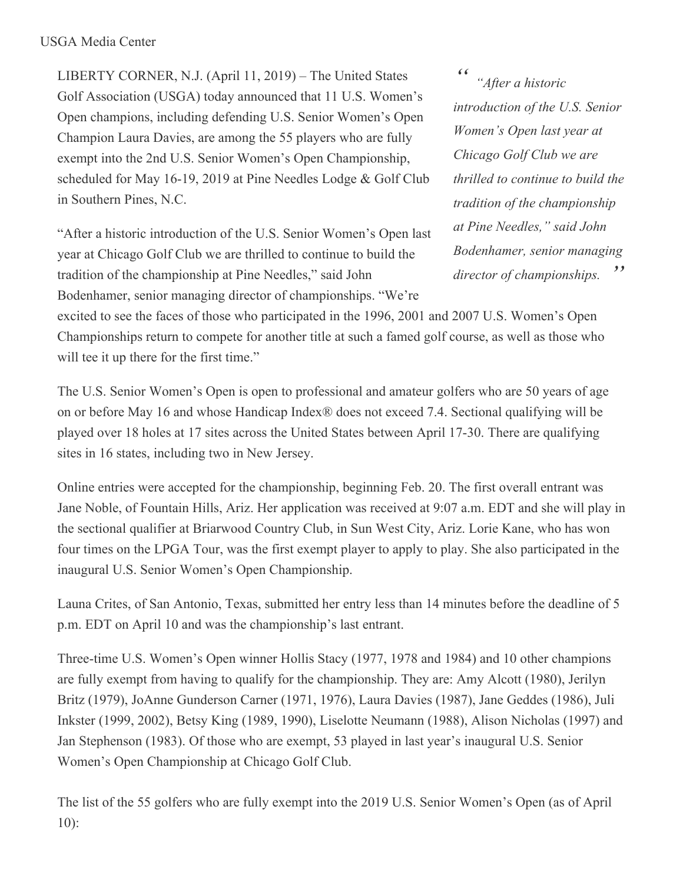LIBERTY CORNER, N.J. (April 11, 2019) – The United States Golf Association (USGA) today announced that 11 U.S. Women's Open champions, including defending U.S. Senior Women's Open Champion Laura Davies, are among the 55 players who are fully exempt into the 2nd U.S. Senior Women's Open Championship, scheduled for May 16-19, 2019 at Pine Needles Lodge & Golf Club in Southern Pines, N.C.

"After a historic introduction of the U.S. Senior Women's Open last year at Chicago Golf Club we are thrilled to continue to build the tradition of the championship at Pine Needles," said John Bodenhamer, senior managing director of championships. "We're

*" " "After <sup>a</sup> historic introduction of the U.S. Senior Women's Open last year at Chicago Golf Club we are thrilled to continue to build the tradition of the championship at Pine Needles," said John Bodenhamer, senior managing director of championships.*

excited to see the faces of those who participated in the 1996, 2001 and 2007 U.S. Women's Open Championships return to compete for another title at such a famed golf course, as well as those who will tee it up there for the first time."

The U.S. Senior Women's Open is open to professional and amateur golfers who are 50 years of age on or before May 16 and whose Handicap Index® does not exceed 7.4. Sectional qualifying will be played over 18 holes at 17 sites across the United States between April 17-30. There are qualifying sites in 16 states, including two in New Jersey.

Online entries were accepted for the championship, beginning Feb. 20. The first overall entrant was Jane Noble, of Fountain Hills, Ariz. Her application was received at 9:07 a.m. EDT and she will play in the sectional qualifier at Briarwood Country Club, in Sun West City, Ariz. Lorie Kane, who has won four times on the LPGA Tour, was the first exempt player to apply to play. She also participated in the inaugural U.S. Senior Women's Open Championship.

Launa Crites, of San Antonio, Texas, submitted her entry less than 14 minutes before the deadline of 5 p.m. EDT on April 10 and was the championship's last entrant.

Three-time U.S. Women's Open winner Hollis Stacy (1977, 1978 and 1984) and 10 other champions are fully exempt from having to qualify for the championship. They are: Amy Alcott (1980), Jerilyn Britz (1979), JoAnne Gunderson Carner (1971, 1976), Laura Davies (1987), Jane Geddes (1986), Juli Inkster (1999, 2002), Betsy King (1989, 1990), Liselotte Neumann (1988), Alison Nicholas (1997) and Jan Stephenson (1983). Of those who are exempt, 53 played in last year's inaugural U.S. Senior Women's Open Championship at Chicago Golf Club.

The list of the 55 golfers who are fully exempt into the 2019 U.S. Senior Women's Open (as of April 10):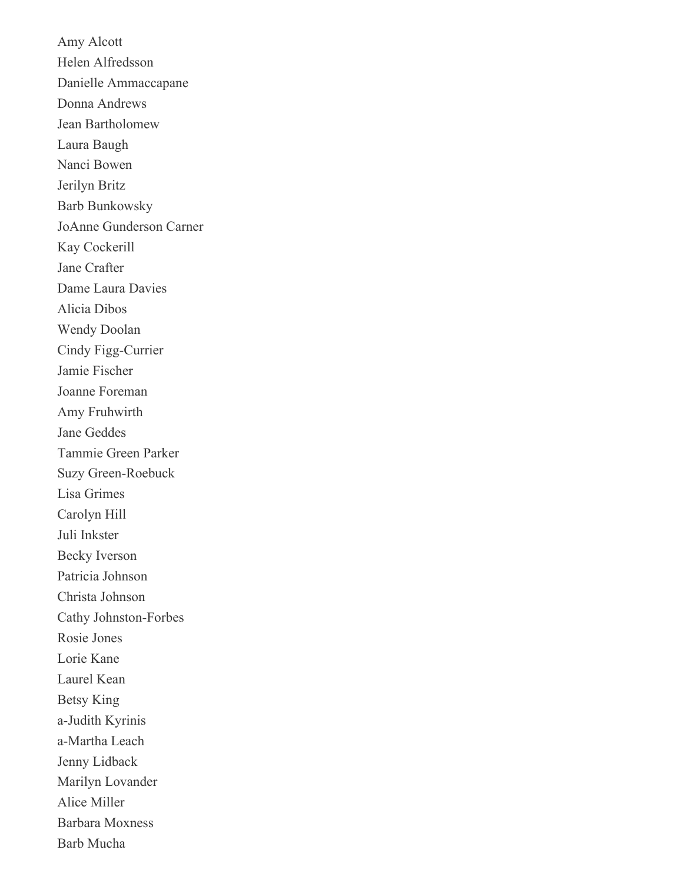Amy Alcott Helen Alfredsson Danielle Ammaccapane Donna Andrews Jean Bartholomew Laura Baugh Nanci Bowen Jerilyn Britz Barb Bunkowsky JoAnne Gunderson Carner Kay Cockerill Jane Crafter Dame Laura Davies Alicia Dibos Wendy Doolan Cindy Figg-Currier Jamie Fischer Joanne Foreman Amy Fruhwirth Jane Geddes Tammie Green Parker Suzy Green-Roebuck Lisa Grimes Carolyn Hill Juli Inkster Becky Iverson Patricia Johnson Christa Johnson Cathy Johnston-Forbes Rosie Jones Lorie Kane Laurel Kean Betsy King a-Judith Kyrinis a-Martha Leach Jenny Lidback Marilyn Lovander Alice Miller Barbara Moxness Barb Mucha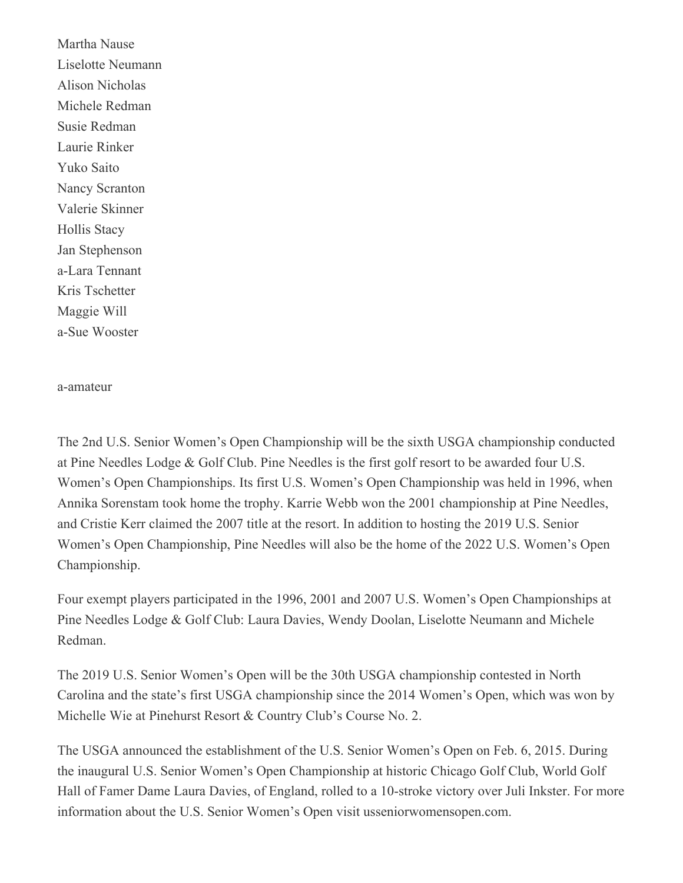Martha Nause Liselotte Neumann Alison Nicholas Michele Redman Susie Redman Laurie Rinker Yuko Saito Nancy Scranton Valerie Skinner Hollis Stacy Jan Stephenson a-Lara Tennant Kris Tschetter Maggie Will a-Sue Wooster

a-amateur

The 2nd U.S. Senior Women's Open Championship will be the sixth USGA championship conducted at Pine Needles Lodge & Golf Club. Pine Needles is the first golf resort to be awarded four U.S. Women's Open Championships. Its first U.S. Women's Open Championship was held in 1996, when Annika Sorenstam took home the trophy. Karrie Webb won the 2001 championship at Pine Needles, and Cristie Kerr claimed the 2007 title at the resort. In addition to hosting the 2019 U.S. Senior Women's Open Championship, Pine Needles will also be the home of the 2022 U.S. Women's Open Championship.

Four exempt players participated in the 1996, 2001 and 2007 U.S. Women's Open Championships at Pine Needles Lodge & Golf Club: Laura Davies, Wendy Doolan, Liselotte Neumann and Michele Redman.

The 2019 U.S. Senior Women's Open will be the 30th USGA championship contested in North Carolina and the state's first USGA championship since the 2014 Women's Open, which was won by Michelle Wie at Pinehurst Resort & Country Club's Course No. 2.

The USGA announced the establishment of the U.S. Senior Women's Open on Feb. 6, 2015. During the inaugural U.S. Senior Women's Open Championship at historic Chicago Golf Club, World Golf Hall of Famer Dame Laura Davies, of England, rolled to a 10-stroke victory over Juli Inkster. For more information about the U.S. Senior Women's Open visit usseniorwomensopen.com.